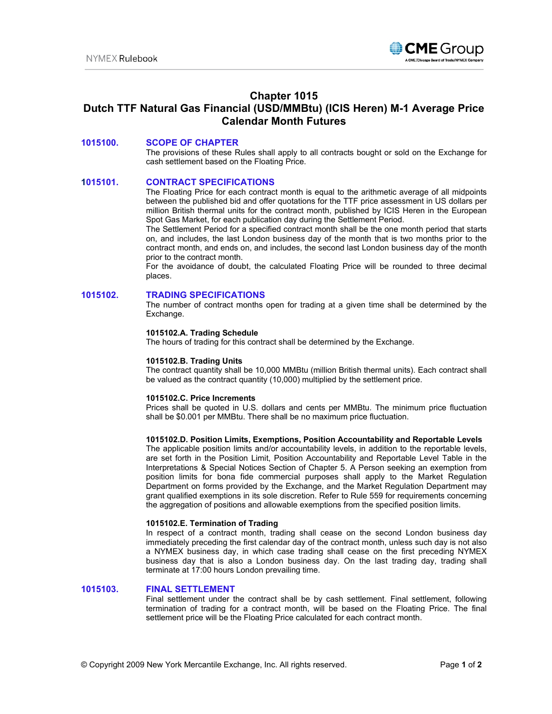

# **Chapter 1015 Dutch TTF Natural Gas Financial (USD/MMBtu) (ICIS Heren) M-1 Average Price Calendar Month Futures**

# **1015100. SCOPE OF CHAPTER**

The provisions of these Rules shall apply to all contracts bought or sold on the Exchange for cash settlement based on the Floating Price.

### **1015101. CONTRACT SPECIFICATIONS**

The Floating Price for each contract month is equal to the arithmetic average of all midpoints between the published bid and offer quotations for the TTF price assessment in US dollars per million British thermal units for the contract month, published by ICIS Heren in the European Spot Gas Market, for each publication day during the Settlement Period.

The Settlement Period for a specified contract month shall be the one month period that starts on, and includes, the last London business day of the month that is two months prior to the contract month, and ends on, and includes, the second last London business day of the month prior to the contract month.

For the avoidance of doubt, the calculated Floating Price will be rounded to three decimal places.

#### **1015102. TRADING SPECIFICATIONS**

The number of contract months open for trading at a given time shall be determined by the Exchange.

#### **1015102.A. Trading Schedule**

The hours of trading for this contract shall be determined by the Exchange.

#### **1015102.B. Trading Units**

The contract quantity shall be 10,000 MMBtu (million British thermal units). Each contract shall be valued as the contract quantity (10,000) multiplied by the settlement price.

#### **1015102.C. Price Increments**

Prices shall be quoted in U.S. dollars and cents per MMBtu. The minimum price fluctuation shall be \$0.001 per MMBtu. There shall be no maximum price fluctuation.

#### **1015102.D. Position Limits, Exemptions, Position Accountability and Reportable Levels**

The applicable position limits and/or accountability levels, in addition to the reportable levels, are set forth in the Position Limit, Position Accountability and Reportable Level Table in the Interpretations & Special Notices Section of Chapter 5. A Person seeking an exemption from position limits for bona fide commercial purposes shall apply to the Market Regulation Department on forms provided by the Exchange, and the Market Regulation Department may grant qualified exemptions in its sole discretion. Refer to Rule 559 for requirements concerning the aggregation of positions and allowable exemptions from the specified position limits.

# **1015102.E. Termination of Trading**

In respect of a contract month, trading shall cease on the second London business day immediately preceding the first calendar day of the contract month, unless such day is not also a NYMEX business day, in which case trading shall cease on the first preceding NYMEX business day that is also a London business day. On the last trading day, trading shall terminate at 17:00 hours London prevailing time.

# **1015103. FINAL SETTLEMENT**

Final settlement under the contract shall be by cash settlement. Final settlement, following termination of trading for a contract month, will be based on the Floating Price. The final settlement price will be the Floating Price calculated for each contract month.